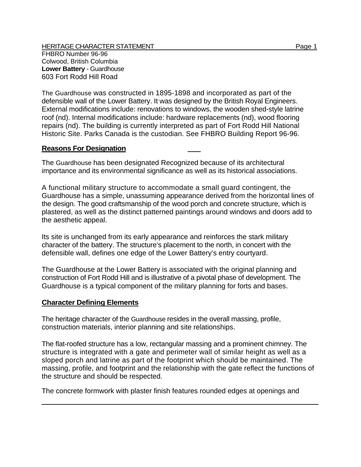The Guardhouse was constructed in 1895-1898 and incorporated as part of the defensible wall of the Lower Battery. It was designed by the British Royal Engineers. External modifications include: renovations to windows, the wooden shed-style latrine roof (nd). Internal modifications include: hardware replacements (nd), wood flooring repairs (nd). The building is currently interpreted as part of Fort Rodd Hill National Historic Site. Parks Canada is the custodian. See FHBRO Building Report 96-96.

## **Reasons For Designation**

The Guardhouse has been designated Recognized because of its architectural importance and its environmental significance as well as its historical associations.

A functional military structure to accommodate a small guard contingent, the Guardhouse has a simple, unassuming appearance derived from the horizontal lines of the design. The good craftsmanship of the wood porch and concrete structure, which is plastered, as well as the distinct patterned paintings around windows and doors add to the aesthetic appeal.

Its site is unchanged from its early appearance and reinforces the stark military character of the battery. The structure's placement to the north, in concert with the defensible wall, defines one edge of the Lower Battery's entry courtyard.

The Guardhouse at the Lower Battery is associated with the original planning and construction of Fort Rodd Hill and is illustrative of a pivotal phase of development. The Guardhouse is a typical component of the military planning for forts and bases.

## **Character Defining Elements**

The heritage character of the Guardhouse resides in the overall massing, profile, construction materials, interior planning and site relationships.

The flat-roofed structure has a low, rectangular massing and a prominent chimney. The structure is integrated with a gate and perimeter wall of similar height as well as a sloped porch and latrine as part of the footprint which should be maintained. The massing, profile, and footprint and the relationship with the gate reflect the functions of the structure and should be respected.

The concrete formwork with plaster finish features rounded edges at openings and